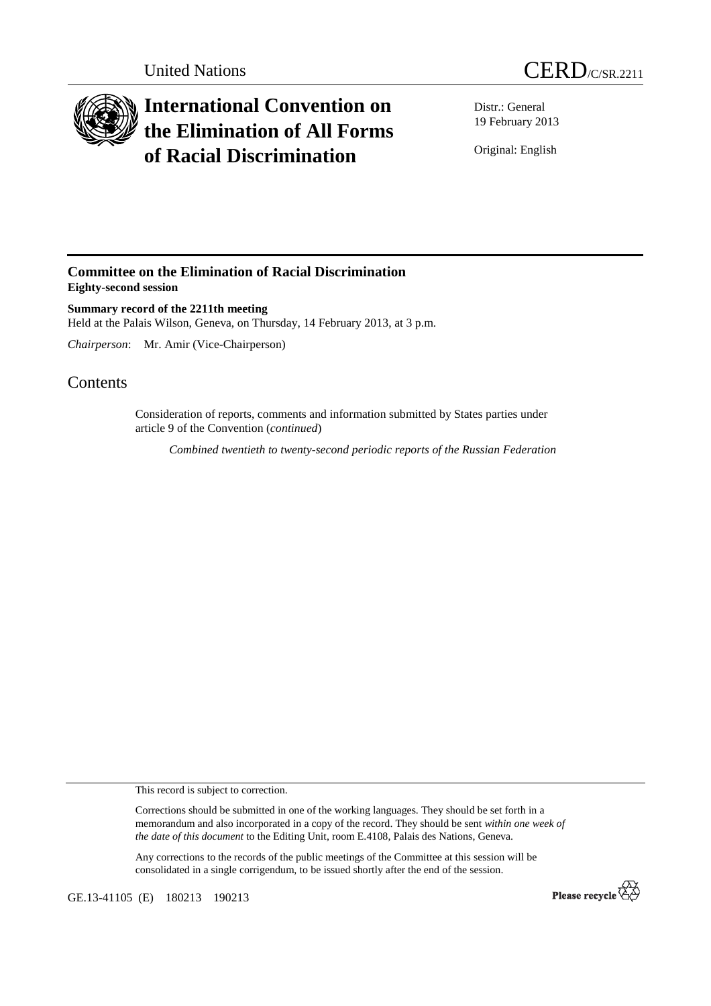



## **International Convention on the Elimination of All Forms of Racial Discrimination**

Distr.: General 19 February 2013

Original: English

## **Committee on the Elimination of Racial Discrimination Eighty-second session**

**Summary record of the 2211th meeting**  Held at the Palais Wilson, Geneva, on Thursday, 14 February 2013, at 3 p.m.

*Chairperson*: Mr. Amir (Vice-Chairperson)

## **Contents**

Consideration of reports, comments and information submitted by States parties under article 9 of the Convention (*continued*)

*Combined twentieth to twenty-second periodic reports of the Russian Federation* 

This record is subject to correction.

Corrections should be submitted in one of the working languages. They should be set forth in a memorandum and also incorporated in a copy of the record. They should be sent *within one week of the date of this document* to the Editing Unit, room E.4108, Palais des Nations, Geneva.

Any corrections to the records of the public meetings of the Committee at this session will be consolidated in a single corrigendum, to be issued shortly after the end of the session.

GE.13-41105 (E) 180213 190213

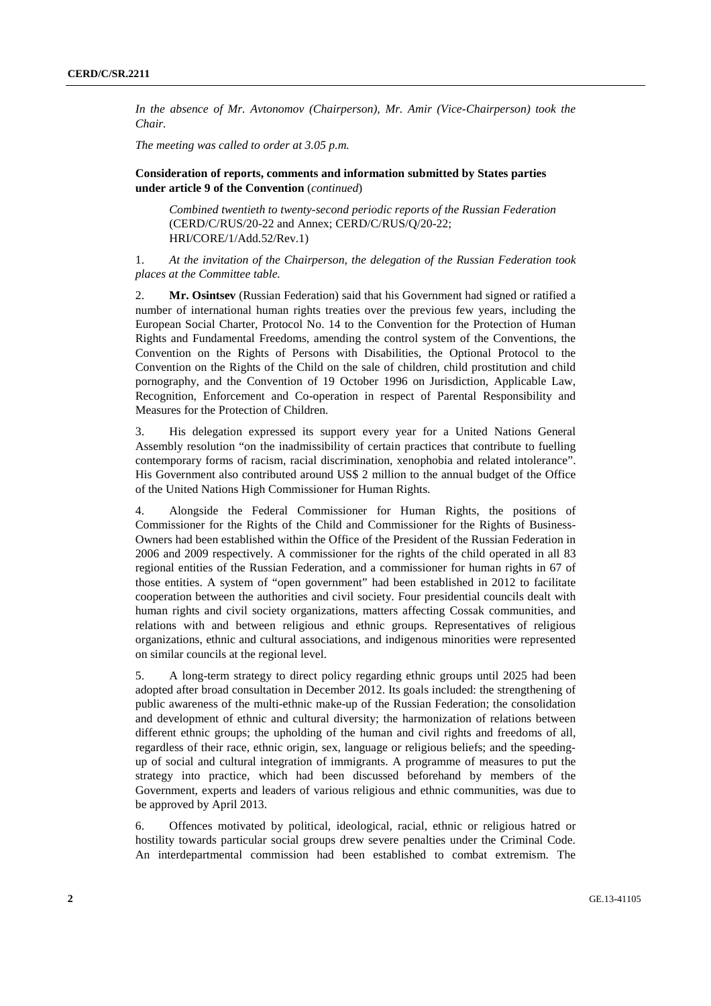*In the absence of Mr. Avtonomov (Chairperson), Mr. Amir (Vice-Chairperson) took the Chair.* 

*The meeting was called to order at 3.05 p.m.* 

## **Consideration of reports, comments and information submitted by States parties under article 9 of the Convention** (*continued*)

*Combined twentieth to twenty-second periodic reports of the Russian Federation* (CERD/C/RUS/20-22 and Annex; CERD/C/RUS/Q/20-22; HRI/CORE/1/Add.52/Rev.1)

1. *At the invitation of the Chairperson, the delegation of the Russian Federation took places at the Committee table.* 

2. **Mr. Osintsev** (Russian Federation) said that his Government had signed or ratified a number of international human rights treaties over the previous few years, including the European Social Charter, Protocol No. 14 to the Convention for the Protection of Human Rights and Fundamental Freedoms, amending the control system of the Conventions, the Convention on the Rights of Persons with Disabilities, the Optional Protocol to the Convention on the Rights of the Child on the sale of children, child prostitution and child pornography, and the Convention of 19 October 1996 on Jurisdiction, Applicable Law, Recognition, Enforcement and Co-operation in respect of Parental Responsibility and Measures for the Protection of Children.

3. His delegation expressed its support every year for a United Nations General Assembly resolution "on the inadmissibility of certain practices that contribute to fuelling contemporary forms of racism, racial discrimination, xenophobia and related intolerance". His Government also contributed around US\$ 2 million to the annual budget of the Office of the United Nations High Commissioner for Human Rights.

4. Alongside the Federal Commissioner for Human Rights, the positions of Commissioner for the Rights of the Child and Commissioner for the Rights of Business-Owners had been established within the Office of the President of the Russian Federation in 2006 and 2009 respectively. A commissioner for the rights of the child operated in all 83 regional entities of the Russian Federation, and a commissioner for human rights in 67 of those entities. A system of "open government" had been established in 2012 to facilitate cooperation between the authorities and civil society. Four presidential councils dealt with human rights and civil society organizations, matters affecting Cossak communities, and relations with and between religious and ethnic groups. Representatives of religious organizations, ethnic and cultural associations, and indigenous minorities were represented on similar councils at the regional level.

5. A long-term strategy to direct policy regarding ethnic groups until 2025 had been adopted after broad consultation in December 2012. Its goals included: the strengthening of public awareness of the multi-ethnic make-up of the Russian Federation; the consolidation and development of ethnic and cultural diversity; the harmonization of relations between different ethnic groups; the upholding of the human and civil rights and freedoms of all, regardless of their race, ethnic origin, sex, language or religious beliefs; and the speedingup of social and cultural integration of immigrants. A programme of measures to put the strategy into practice, which had been discussed beforehand by members of the Government, experts and leaders of various religious and ethnic communities, was due to be approved by April 2013.

6. Offences motivated by political, ideological, racial, ethnic or religious hatred or hostility towards particular social groups drew severe penalties under the Criminal Code. An interdepartmental commission had been established to combat extremism. The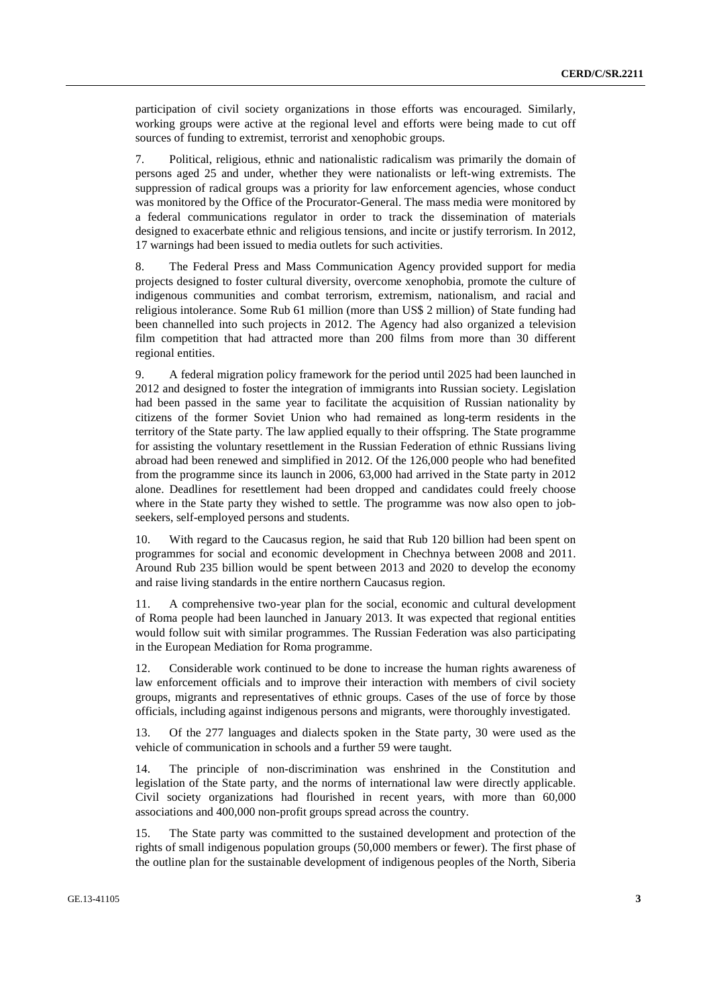participation of civil society organizations in those efforts was encouraged. Similarly, working groups were active at the regional level and efforts were being made to cut off sources of funding to extremist, terrorist and xenophobic groups.

7. Political, religious, ethnic and nationalistic radicalism was primarily the domain of persons aged 25 and under, whether they were nationalists or left-wing extremists. The suppression of radical groups was a priority for law enforcement agencies, whose conduct was monitored by the Office of the Procurator-General. The mass media were monitored by a federal communications regulator in order to track the dissemination of materials designed to exacerbate ethnic and religious tensions, and incite or justify terrorism. In 2012, 17 warnings had been issued to media outlets for such activities.

8. The Federal Press and Mass Communication Agency provided support for media projects designed to foster cultural diversity, overcome xenophobia, promote the culture of indigenous communities and combat terrorism, extremism, nationalism, and racial and religious intolerance. Some Rub 61 million (more than US\$ 2 million) of State funding had been channelled into such projects in 2012. The Agency had also organized a television film competition that had attracted more than 200 films from more than 30 different regional entities.

9. A federal migration policy framework for the period until 2025 had been launched in 2012 and designed to foster the integration of immigrants into Russian society. Legislation had been passed in the same year to facilitate the acquisition of Russian nationality by citizens of the former Soviet Union who had remained as long-term residents in the territory of the State party. The law applied equally to their offspring. The State programme for assisting the voluntary resettlement in the Russian Federation of ethnic Russians living abroad had been renewed and simplified in 2012. Of the 126,000 people who had benefited from the programme since its launch in 2006, 63,000 had arrived in the State party in 2012 alone. Deadlines for resettlement had been dropped and candidates could freely choose where in the State party they wished to settle. The programme was now also open to jobseekers, self-employed persons and students.

10. With regard to the Caucasus region, he said that Rub 120 billion had been spent on programmes for social and economic development in Chechnya between 2008 and 2011. Around Rub 235 billion would be spent between 2013 and 2020 to develop the economy and raise living standards in the entire northern Caucasus region.

11. A comprehensive two-year plan for the social, economic and cultural development of Roma people had been launched in January 2013. It was expected that regional entities would follow suit with similar programmes. The Russian Federation was also participating in the European Mediation for Roma programme.

12. Considerable work continued to be done to increase the human rights awareness of law enforcement officials and to improve their interaction with members of civil society groups, migrants and representatives of ethnic groups. Cases of the use of force by those officials, including against indigenous persons and migrants, were thoroughly investigated.

13. Of the 277 languages and dialects spoken in the State party, 30 were used as the vehicle of communication in schools and a further 59 were taught.

14. The principle of non-discrimination was enshrined in the Constitution and legislation of the State party, and the norms of international law were directly applicable. Civil society organizations had flourished in recent years, with more than 60,000 associations and 400,000 non-profit groups spread across the country.

15. The State party was committed to the sustained development and protection of the rights of small indigenous population groups (50,000 members or fewer). The first phase of the outline plan for the sustainable development of indigenous peoples of the North, Siberia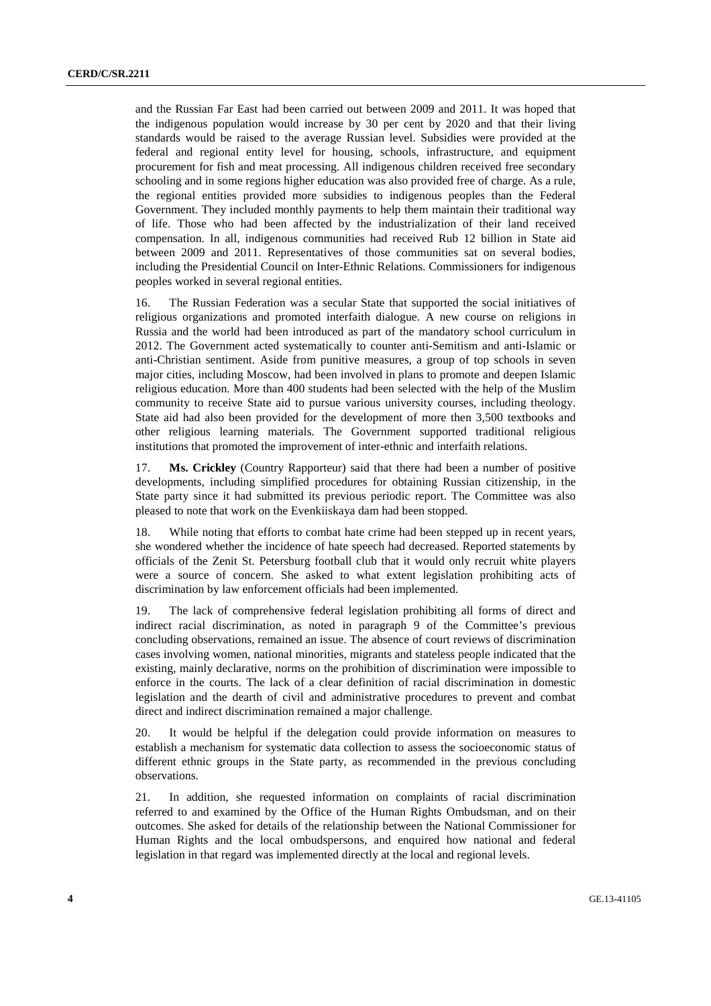and the Russian Far East had been carried out between 2009 and 2011. It was hoped that the indigenous population would increase by 30 per cent by 2020 and that their living standards would be raised to the average Russian level. Subsidies were provided at the federal and regional entity level for housing, schools, infrastructure, and equipment procurement for fish and meat processing. All indigenous children received free secondary schooling and in some regions higher education was also provided free of charge. As a rule, the regional entities provided more subsidies to indigenous peoples than the Federal Government. They included monthly payments to help them maintain their traditional way of life. Those who had been affected by the industrialization of their land received compensation. In all, indigenous communities had received Rub 12 billion in State aid between 2009 and 2011. Representatives of those communities sat on several bodies, including the Presidential Council on Inter-Ethnic Relations. Commissioners for indigenous peoples worked in several regional entities.

16. The Russian Federation was a secular State that supported the social initiatives of religious organizations and promoted interfaith dialogue. A new course on religions in Russia and the world had been introduced as part of the mandatory school curriculum in 2012. The Government acted systematically to counter anti-Semitism and anti-Islamic or anti-Christian sentiment. Aside from punitive measures, a group of top schools in seven major cities, including Moscow, had been involved in plans to promote and deepen Islamic religious education. More than 400 students had been selected with the help of the Muslim community to receive State aid to pursue various university courses, including theology. State aid had also been provided for the development of more then 3,500 textbooks and other religious learning materials. The Government supported traditional religious institutions that promoted the improvement of inter-ethnic and interfaith relations.

17. **Ms. Crickley** (Country Rapporteur) said that there had been a number of positive developments, including simplified procedures for obtaining Russian citizenship, in the State party since it had submitted its previous periodic report. The Committee was also pleased to note that work on the Evenkiiskaya dam had been stopped.

18. While noting that efforts to combat hate crime had been stepped up in recent years, she wondered whether the incidence of hate speech had decreased. Reported statements by officials of the Zenit St. Petersburg football club that it would only recruit white players were a source of concern. She asked to what extent legislation prohibiting acts of discrimination by law enforcement officials had been implemented.

19. The lack of comprehensive federal legislation prohibiting all forms of direct and indirect racial discrimination, as noted in paragraph 9 of the Committee's previous concluding observations, remained an issue. The absence of court reviews of discrimination cases involving women, national minorities, migrants and stateless people indicated that the existing, mainly declarative, norms on the prohibition of discrimination were impossible to enforce in the courts. The lack of a clear definition of racial discrimination in domestic legislation and the dearth of civil and administrative procedures to prevent and combat direct and indirect discrimination remained a major challenge.

20. It would be helpful if the delegation could provide information on measures to establish a mechanism for systematic data collection to assess the socioeconomic status of different ethnic groups in the State party, as recommended in the previous concluding observations.

21. In addition, she requested information on complaints of racial discrimination referred to and examined by the Office of the Human Rights Ombudsman, and on their outcomes. She asked for details of the relationship between the National Commissioner for Human Rights and the local ombudspersons, and enquired how national and federal legislation in that regard was implemented directly at the local and regional levels.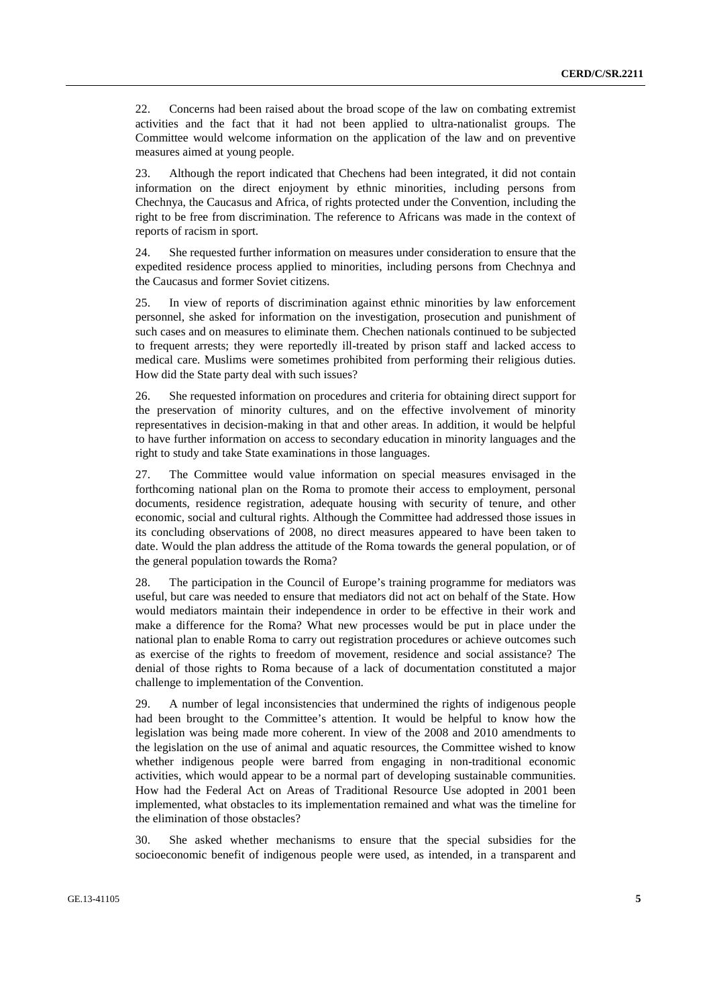22. Concerns had been raised about the broad scope of the law on combating extremist activities and the fact that it had not been applied to ultra-nationalist groups. The Committee would welcome information on the application of the law and on preventive measures aimed at young people.

23. Although the report indicated that Chechens had been integrated, it did not contain information on the direct enjoyment by ethnic minorities, including persons from Chechnya, the Caucasus and Africa, of rights protected under the Convention, including the right to be free from discrimination. The reference to Africans was made in the context of reports of racism in sport.

24. She requested further information on measures under consideration to ensure that the expedited residence process applied to minorities, including persons from Chechnya and the Caucasus and former Soviet citizens.

25. In view of reports of discrimination against ethnic minorities by law enforcement personnel, she asked for information on the investigation, prosecution and punishment of such cases and on measures to eliminate them. Chechen nationals continued to be subjected to frequent arrests; they were reportedly ill-treated by prison staff and lacked access to medical care. Muslims were sometimes prohibited from performing their religious duties. How did the State party deal with such issues?

26. She requested information on procedures and criteria for obtaining direct support for the preservation of minority cultures, and on the effective involvement of minority representatives in decision-making in that and other areas. In addition, it would be helpful to have further information on access to secondary education in minority languages and the right to study and take State examinations in those languages.

27. The Committee would value information on special measures envisaged in the forthcoming national plan on the Roma to promote their access to employment, personal documents, residence registration, adequate housing with security of tenure, and other economic, social and cultural rights. Although the Committee had addressed those issues in its concluding observations of 2008, no direct measures appeared to have been taken to date. Would the plan address the attitude of the Roma towards the general population, or of the general population towards the Roma?

28. The participation in the Council of Europe's training programme for mediators was useful, but care was needed to ensure that mediators did not act on behalf of the State. How would mediators maintain their independence in order to be effective in their work and make a difference for the Roma? What new processes would be put in place under the national plan to enable Roma to carry out registration procedures or achieve outcomes such as exercise of the rights to freedom of movement, residence and social assistance? The denial of those rights to Roma because of a lack of documentation constituted a major challenge to implementation of the Convention.

29. A number of legal inconsistencies that undermined the rights of indigenous people had been brought to the Committee's attention. It would be helpful to know how the legislation was being made more coherent. In view of the 2008 and 2010 amendments to the legislation on the use of animal and aquatic resources, the Committee wished to know whether indigenous people were barred from engaging in non-traditional economic activities, which would appear to be a normal part of developing sustainable communities. How had the Federal Act on Areas of Traditional Resource Use adopted in 2001 been implemented, what obstacles to its implementation remained and what was the timeline for the elimination of those obstacles?

30. She asked whether mechanisms to ensure that the special subsidies for the socioeconomic benefit of indigenous people were used, as intended, in a transparent and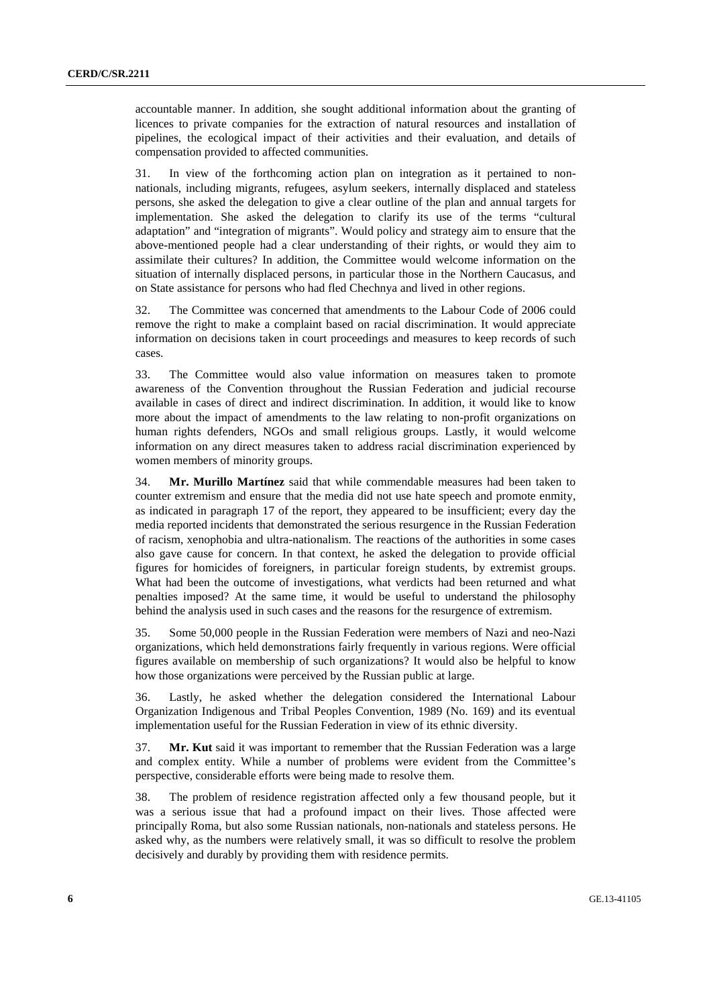accountable manner. In addition, she sought additional information about the granting of licences to private companies for the extraction of natural resources and installation of pipelines, the ecological impact of their activities and their evaluation, and details of compensation provided to affected communities.

31. In view of the forthcoming action plan on integration as it pertained to nonnationals, including migrants, refugees, asylum seekers, internally displaced and stateless persons, she asked the delegation to give a clear outline of the plan and annual targets for implementation. She asked the delegation to clarify its use of the terms "cultural adaptation" and "integration of migrants". Would policy and strategy aim to ensure that the above-mentioned people had a clear understanding of their rights, or would they aim to assimilate their cultures? In addition, the Committee would welcome information on the situation of internally displaced persons, in particular those in the Northern Caucasus, and on State assistance for persons who had fled Chechnya and lived in other regions.

32. The Committee was concerned that amendments to the Labour Code of 2006 could remove the right to make a complaint based on racial discrimination. It would appreciate information on decisions taken in court proceedings and measures to keep records of such cases.

33. The Committee would also value information on measures taken to promote awareness of the Convention throughout the Russian Federation and judicial recourse available in cases of direct and indirect discrimination. In addition, it would like to know more about the impact of amendments to the law relating to non-profit organizations on human rights defenders, NGOs and small religious groups. Lastly, it would welcome information on any direct measures taken to address racial discrimination experienced by women members of minority groups.

34. **Mr. Murillo Martínez** said that while commendable measures had been taken to counter extremism and ensure that the media did not use hate speech and promote enmity, as indicated in paragraph 17 of the report, they appeared to be insufficient; every day the media reported incidents that demonstrated the serious resurgence in the Russian Federation of racism, xenophobia and ultra-nationalism. The reactions of the authorities in some cases also gave cause for concern. In that context, he asked the delegation to provide official figures for homicides of foreigners, in particular foreign students, by extremist groups. What had been the outcome of investigations, what verdicts had been returned and what penalties imposed? At the same time, it would be useful to understand the philosophy behind the analysis used in such cases and the reasons for the resurgence of extremism.

35. Some 50,000 people in the Russian Federation were members of Nazi and neo-Nazi organizations, which held demonstrations fairly frequently in various regions. Were official figures available on membership of such organizations? It would also be helpful to know how those organizations were perceived by the Russian public at large.

36. Lastly, he asked whether the delegation considered the International Labour Organization Indigenous and Tribal Peoples Convention, 1989 (No. 169) and its eventual implementation useful for the Russian Federation in view of its ethnic diversity.

37. **Mr. Kut** said it was important to remember that the Russian Federation was a large and complex entity. While a number of problems were evident from the Committee's perspective, considerable efforts were being made to resolve them.

38. The problem of residence registration affected only a few thousand people, but it was a serious issue that had a profound impact on their lives. Those affected were principally Roma, but also some Russian nationals, non-nationals and stateless persons. He asked why, as the numbers were relatively small, it was so difficult to resolve the problem decisively and durably by providing them with residence permits.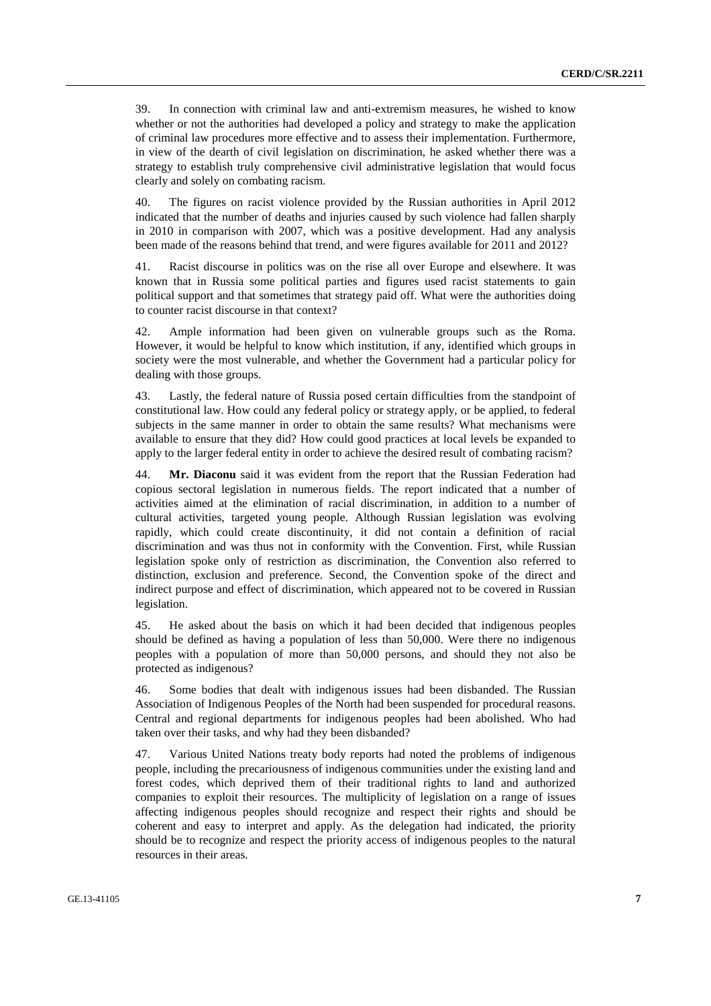39. In connection with criminal law and anti-extremism measures, he wished to know whether or not the authorities had developed a policy and strategy to make the application of criminal law procedures more effective and to assess their implementation. Furthermore, in view of the dearth of civil legislation on discrimination, he asked whether there was a strategy to establish truly comprehensive civil administrative legislation that would focus clearly and solely on combating racism.

40. The figures on racist violence provided by the Russian authorities in April 2012 indicated that the number of deaths and injuries caused by such violence had fallen sharply in 2010 in comparison with 2007, which was a positive development. Had any analysis been made of the reasons behind that trend, and were figures available for 2011 and 2012?

41. Racist discourse in politics was on the rise all over Europe and elsewhere. It was known that in Russia some political parties and figures used racist statements to gain political support and that sometimes that strategy paid off. What were the authorities doing to counter racist discourse in that context?

42. Ample information had been given on vulnerable groups such as the Roma. However, it would be helpful to know which institution, if any, identified which groups in society were the most vulnerable, and whether the Government had a particular policy for dealing with those groups.

43. Lastly, the federal nature of Russia posed certain difficulties from the standpoint of constitutional law. How could any federal policy or strategy apply, or be applied, to federal subjects in the same manner in order to obtain the same results? What mechanisms were available to ensure that they did? How could good practices at local levels be expanded to apply to the larger federal entity in order to achieve the desired result of combating racism?

44. **Mr. Diaconu** said it was evident from the report that the Russian Federation had copious sectoral legislation in numerous fields. The report indicated that a number of activities aimed at the elimination of racial discrimination, in addition to a number of cultural activities, targeted young people. Although Russian legislation was evolving rapidly, which could create discontinuity, it did not contain a definition of racial discrimination and was thus not in conformity with the Convention. First, while Russian legislation spoke only of restriction as discrimination, the Convention also referred to distinction, exclusion and preference. Second, the Convention spoke of the direct and indirect purpose and effect of discrimination, which appeared not to be covered in Russian legislation.

45. He asked about the basis on which it had been decided that indigenous peoples should be defined as having a population of less than 50,000. Were there no indigenous peoples with a population of more than 50,000 persons, and should they not also be protected as indigenous?

46. Some bodies that dealt with indigenous issues had been disbanded. The Russian Association of Indigenous Peoples of the North had been suspended for procedural reasons. Central and regional departments for indigenous peoples had been abolished. Who had taken over their tasks, and why had they been disbanded?

47. Various United Nations treaty body reports had noted the problems of indigenous people, including the precariousness of indigenous communities under the existing land and forest codes, which deprived them of their traditional rights to land and authorized companies to exploit their resources. The multiplicity of legislation on a range of issues affecting indigenous peoples should recognize and respect their rights and should be coherent and easy to interpret and apply. As the delegation had indicated, the priority should be to recognize and respect the priority access of indigenous peoples to the natural resources in their areas.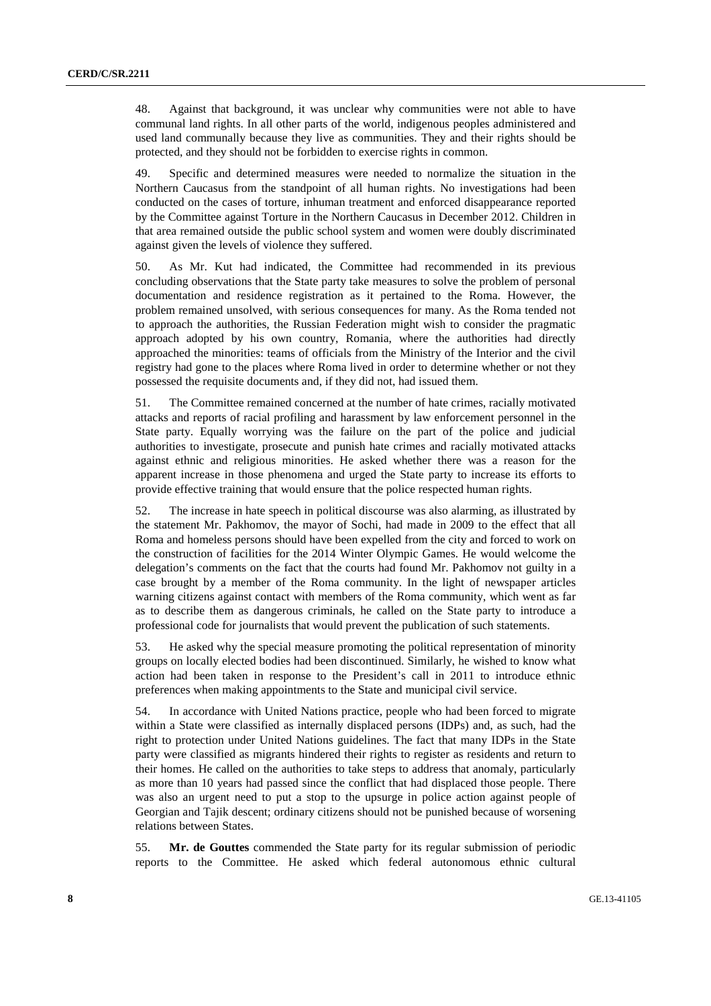48. Against that background, it was unclear why communities were not able to have communal land rights. In all other parts of the world, indigenous peoples administered and used land communally because they live as communities. They and their rights should be protected, and they should not be forbidden to exercise rights in common.

49. Specific and determined measures were needed to normalize the situation in the Northern Caucasus from the standpoint of all human rights. No investigations had been conducted on the cases of torture, inhuman treatment and enforced disappearance reported by the Committee against Torture in the Northern Caucasus in December 2012. Children in that area remained outside the public school system and women were doubly discriminated against given the levels of violence they suffered.

50. As Mr. Kut had indicated, the Committee had recommended in its previous concluding observations that the State party take measures to solve the problem of personal documentation and residence registration as it pertained to the Roma. However, the problem remained unsolved, with serious consequences for many. As the Roma tended not to approach the authorities, the Russian Federation might wish to consider the pragmatic approach adopted by his own country, Romania, where the authorities had directly approached the minorities: teams of officials from the Ministry of the Interior and the civil registry had gone to the places where Roma lived in order to determine whether or not they possessed the requisite documents and, if they did not, had issued them.

51. The Committee remained concerned at the number of hate crimes, racially motivated attacks and reports of racial profiling and harassment by law enforcement personnel in the State party. Equally worrying was the failure on the part of the police and judicial authorities to investigate, prosecute and punish hate crimes and racially motivated attacks against ethnic and religious minorities. He asked whether there was a reason for the apparent increase in those phenomena and urged the State party to increase its efforts to provide effective training that would ensure that the police respected human rights.

52. The increase in hate speech in political discourse was also alarming, as illustrated by the statement Mr. Pakhomov, the mayor of Sochi, had made in 2009 to the effect that all Roma and homeless persons should have been expelled from the city and forced to work on the construction of facilities for the 2014 Winter Olympic Games. He would welcome the delegation's comments on the fact that the courts had found Mr. Pakhomov not guilty in a case brought by a member of the Roma community. In the light of newspaper articles warning citizens against contact with members of the Roma community, which went as far as to describe them as dangerous criminals, he called on the State party to introduce a professional code for journalists that would prevent the publication of such statements.

53. He asked why the special measure promoting the political representation of minority groups on locally elected bodies had been discontinued. Similarly, he wished to know what action had been taken in response to the President's call in 2011 to introduce ethnic preferences when making appointments to the State and municipal civil service.

54. In accordance with United Nations practice, people who had been forced to migrate within a State were classified as internally displaced persons (IDPs) and, as such, had the right to protection under United Nations guidelines. The fact that many IDPs in the State party were classified as migrants hindered their rights to register as residents and return to their homes. He called on the authorities to take steps to address that anomaly, particularly as more than 10 years had passed since the conflict that had displaced those people. There was also an urgent need to put a stop to the upsurge in police action against people of Georgian and Tajik descent; ordinary citizens should not be punished because of worsening relations between States.

55. **Mr. de Gouttes** commended the State party for its regular submission of periodic reports to the Committee. He asked which federal autonomous ethnic cultural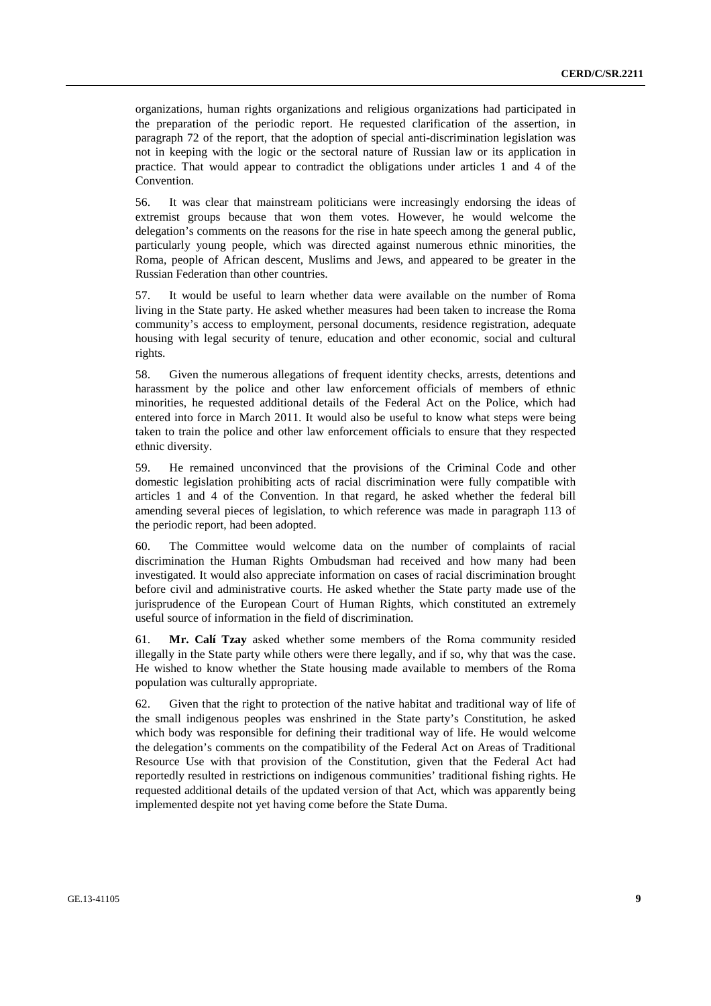organizations, human rights organizations and religious organizations had participated in the preparation of the periodic report. He requested clarification of the assertion, in paragraph 72 of the report, that the adoption of special anti-discrimination legislation was not in keeping with the logic or the sectoral nature of Russian law or its application in practice. That would appear to contradict the obligations under articles 1 and 4 of the Convention.

56. It was clear that mainstream politicians were increasingly endorsing the ideas of extremist groups because that won them votes. However, he would welcome the delegation's comments on the reasons for the rise in hate speech among the general public, particularly young people, which was directed against numerous ethnic minorities, the Roma, people of African descent, Muslims and Jews, and appeared to be greater in the Russian Federation than other countries.

57. It would be useful to learn whether data were available on the number of Roma living in the State party. He asked whether measures had been taken to increase the Roma community's access to employment, personal documents, residence registration, adequate housing with legal security of tenure, education and other economic, social and cultural rights.

58. Given the numerous allegations of frequent identity checks, arrests, detentions and harassment by the police and other law enforcement officials of members of ethnic minorities, he requested additional details of the Federal Act on the Police, which had entered into force in March 2011. It would also be useful to know what steps were being taken to train the police and other law enforcement officials to ensure that they respected ethnic diversity.

59. He remained unconvinced that the provisions of the Criminal Code and other domestic legislation prohibiting acts of racial discrimination were fully compatible with articles 1 and 4 of the Convention. In that regard, he asked whether the federal bill amending several pieces of legislation, to which reference was made in paragraph 113 of the periodic report, had been adopted.

60. The Committee would welcome data on the number of complaints of racial discrimination the Human Rights Ombudsman had received and how many had been investigated. It would also appreciate information on cases of racial discrimination brought before civil and administrative courts. He asked whether the State party made use of the jurisprudence of the European Court of Human Rights, which constituted an extremely useful source of information in the field of discrimination.

61. **Mr. Calí Tzay** asked whether some members of the Roma community resided illegally in the State party while others were there legally, and if so, why that was the case. He wished to know whether the State housing made available to members of the Roma population was culturally appropriate.

62. Given that the right to protection of the native habitat and traditional way of life of the small indigenous peoples was enshrined in the State party's Constitution, he asked which body was responsible for defining their traditional way of life. He would welcome the delegation's comments on the compatibility of the Federal Act on Areas of Traditional Resource Use with that provision of the Constitution, given that the Federal Act had reportedly resulted in restrictions on indigenous communities' traditional fishing rights. He requested additional details of the updated version of that Act, which was apparently being implemented despite not yet having come before the State Duma.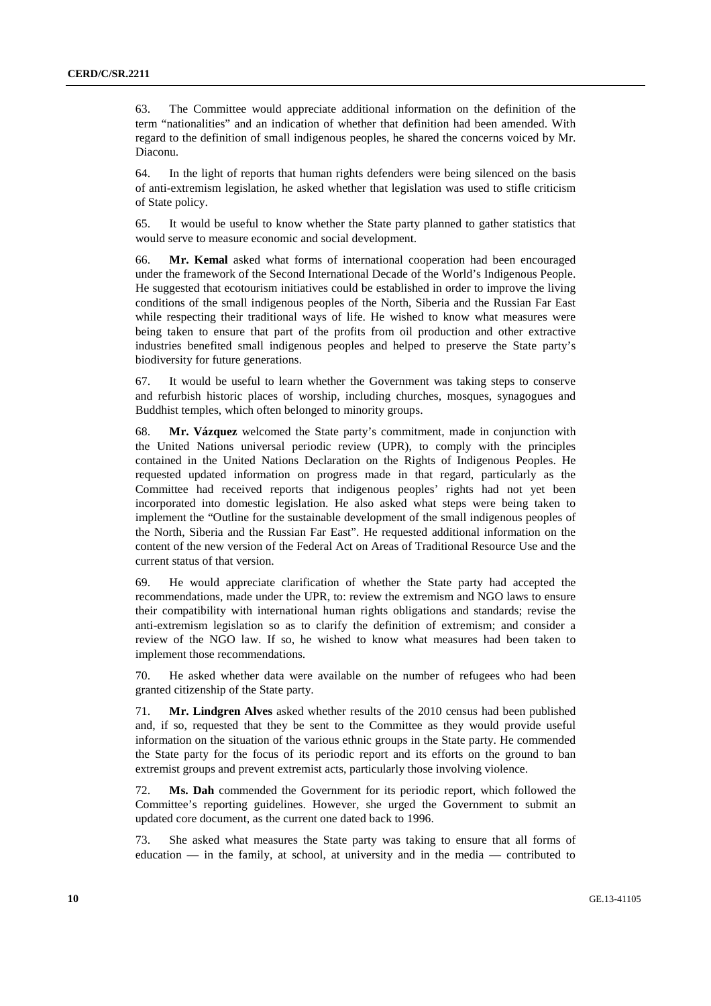63. The Committee would appreciate additional information on the definition of the term "nationalities" and an indication of whether that definition had been amended. With regard to the definition of small indigenous peoples, he shared the concerns voiced by Mr. Diaconu.

64. In the light of reports that human rights defenders were being silenced on the basis of anti-extremism legislation, he asked whether that legislation was used to stifle criticism of State policy.

65. It would be useful to know whether the State party planned to gather statistics that would serve to measure economic and social development.

66. **Mr. Kemal** asked what forms of international cooperation had been encouraged under the framework of the Second International Decade of the World's Indigenous People. He suggested that ecotourism initiatives could be established in order to improve the living conditions of the small indigenous peoples of the North, Siberia and the Russian Far East while respecting their traditional ways of life. He wished to know what measures were being taken to ensure that part of the profits from oil production and other extractive industries benefited small indigenous peoples and helped to preserve the State party's biodiversity for future generations.

67. It would be useful to learn whether the Government was taking steps to conserve and refurbish historic places of worship, including churches, mosques, synagogues and Buddhist temples, which often belonged to minority groups.

68. **Mr. Vázquez** welcomed the State party's commitment, made in conjunction with the United Nations universal periodic review (UPR), to comply with the principles contained in the United Nations Declaration on the Rights of Indigenous Peoples. He requested updated information on progress made in that regard, particularly as the Committee had received reports that indigenous peoples' rights had not yet been incorporated into domestic legislation. He also asked what steps were being taken to implement the "Outline for the sustainable development of the small indigenous peoples of the North, Siberia and the Russian Far East". He requested additional information on the content of the new version of the Federal Act on Areas of Traditional Resource Use and the current status of that version.

69. He would appreciate clarification of whether the State party had accepted the recommendations, made under the UPR, to: review the extremism and NGO laws to ensure their compatibility with international human rights obligations and standards; revise the anti-extremism legislation so as to clarify the definition of extremism; and consider a review of the NGO law. If so, he wished to know what measures had been taken to implement those recommendations.

70. He asked whether data were available on the number of refugees who had been granted citizenship of the State party.

71. **Mr. Lindgren Alves** asked whether results of the 2010 census had been published and, if so, requested that they be sent to the Committee as they would provide useful information on the situation of the various ethnic groups in the State party. He commended the State party for the focus of its periodic report and its efforts on the ground to ban extremist groups and prevent extremist acts, particularly those involving violence.

72. **Ms. Dah** commended the Government for its periodic report, which followed the Committee's reporting guidelines. However, she urged the Government to submit an updated core document, as the current one dated back to 1996.

73. She asked what measures the State party was taking to ensure that all forms of education — in the family, at school, at university and in the media — contributed to